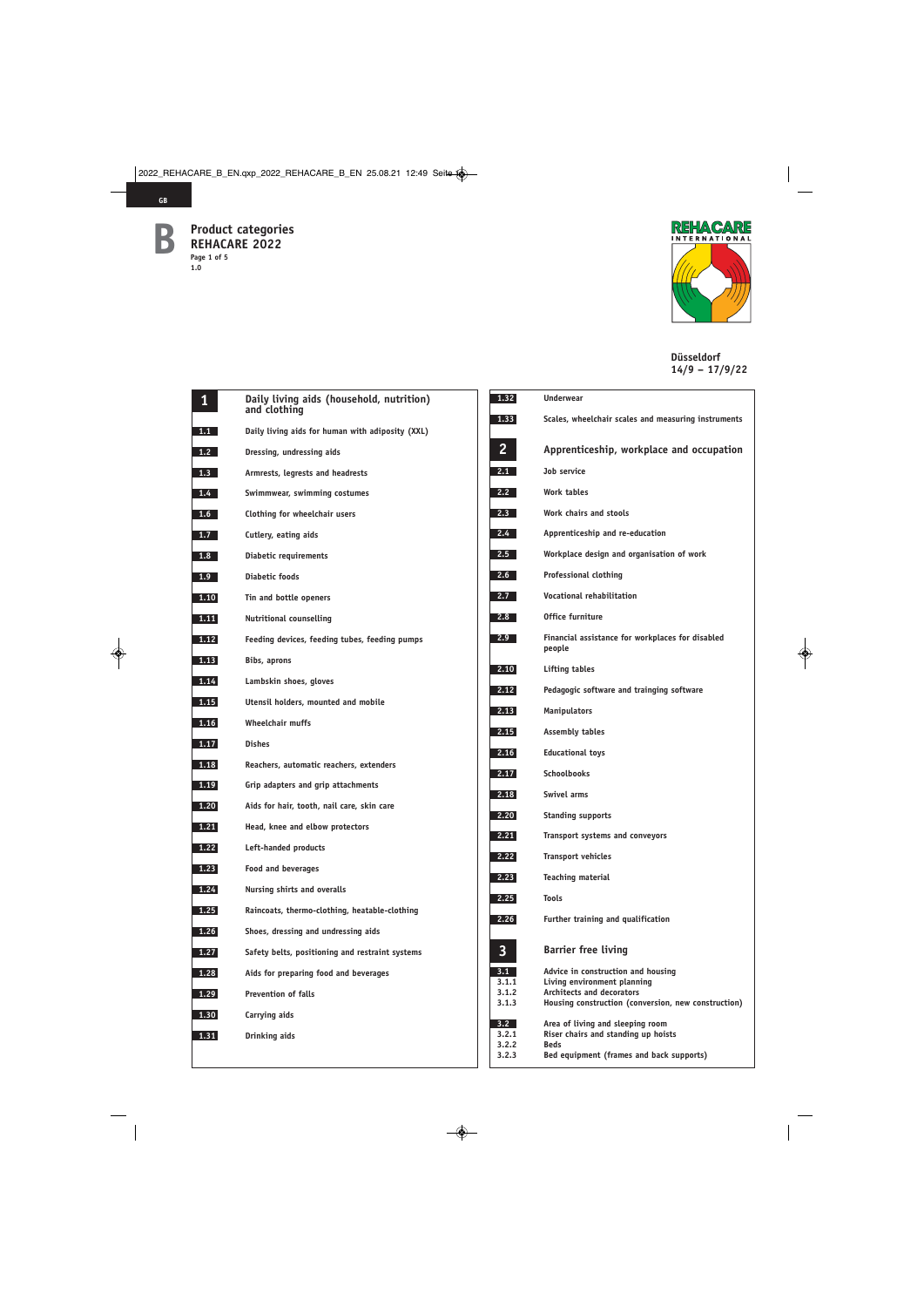

**GB**



| $\mathbf{1}$ | Daily living aids (household, nutrition)<br>and clothing | 1.32                           | <b>Underwear</b>                                                 |
|--------------|----------------------------------------------------------|--------------------------------|------------------------------------------------------------------|
| 1.1          | Daily living aids for human with adiposity (XXL)         | 1.33                           | Scales, whe                                                      |
| 1.2          | Dressing, undressing aids                                | $\overline{2}$                 | Apprenti                                                         |
| 1.3          | Armrests, legrests and headrests                         | 2.1                            | Job service                                                      |
| 1.4          | Swimmwear, swimming costumes                             | 2.2                            | Work table                                                       |
| 1.6          | Clothing for wheelchair users                            | 2.3                            | Work chair:                                                      |
| 1.7          | Cutlery, eating aids                                     | 2.4                            | Apprentice                                                       |
| 1.8          | Diabetic requirements                                    | 2.5                            | Workplace                                                        |
| 1.9          | Diabetic foods                                           | 2.6                            | Professiona                                                      |
| 1.10         | Tin and bottle openers                                   | 2.7                            | Vocational                                                       |
| 1.11         | <b>Nutritional counselling</b>                           | 2.8                            | Office furn                                                      |
| 1.12         | Feeding devices, feeding tubes, feeding pumps            | 2.9                            | Financial a<br>people                                            |
| 1.13         | Bibs, aprons                                             | 2.10                           | Lifting tab                                                      |
| 1.14         | Lambskin shoes, gloves                                   | 2.12                           | Pedagogic s                                                      |
| 1.15         | Utensil holders, mounted and mobile                      | 2.13                           | Manipulato                                                       |
| 1.16         | <b>Wheelchair muffs</b>                                  | 2.15                           | Assembly t                                                       |
| 1.17         | <b>Dishes</b>                                            | 2.16                           | Educational                                                      |
| 1.18         | Reachers, automatic reachers, extenders                  | 2.17                           | Schoolbook                                                       |
| 1.19         | Grip adapters and grip attachments                       | 2.18                           | Swivel arm                                                       |
| 1.20         | Aids for hair, tooth, nail care, skin care               | 2,20                           | <b>Standing su</b>                                               |
| 1.21         | Head, knee and elbow protectors                          | 2.21                           | <b>Transport</b> s                                               |
| 1.22         | Left-handed products                                     | 2.22                           | Transport v                                                      |
| 1.23         | <b>Food and beverages</b>                                |                                | Teaching m                                                       |
| 1.24         | Nursing shirts and overalls                              | 2.23<br>2.25                   | <b>Tools</b>                                                     |
| 1.25         | Raincoats, thermo-clothing, heatable-clothing            | 2.26                           | <b>Further tra</b>                                               |
| 1.26         | Shoes, dressing and undressing aids                      |                                |                                                                  |
| 1.27         | Safety belts, positioning and restraint systems          | $\overline{\mathbf{3}}$        | <b>Barrier fi</b>                                                |
| 1.28         | Aids for preparing food and beverages                    | 3.1                            | Advice in c                                                      |
| 1.29         | <b>Prevention of falls</b>                               | 3.1.1<br>3.1.2                 | Living envi<br>Architects                                        |
| 1.30         | Carrying aids                                            | 3.1.3                          | <b>Housing co</b>                                                |
| 1.31         | Drinking aids                                            | 3.2<br>3.2.1<br>3.2.2<br>3.2.3 | Area of livi<br>Riser chair:<br><b>Beds</b><br><b>Bed equipn</b> |
|              |                                                          |                                |                                                                  |

| 1.32           | <b>Underwear</b>                                                        |
|----------------|-------------------------------------------------------------------------|
| 1.33           | Scales, wheelchair scales and measuring instruments                     |
| 2              | Apprenticeship, workplace and occupation                                |
| 2.1            | Job service                                                             |
| 2.2            | Work tables                                                             |
| 2.3            | Work chairs and stools                                                  |
| $2.4 -$        | Apprenticeship and re-education                                         |
| 2.5            | Workplace design and organisation of work                               |
| 2.6            | Professional clothing                                                   |
| 2.7            | Vocational rehabilitation                                               |
| 2.8            | Office furniture                                                        |
| $2.9 -$        | Financial assistance for workplaces for disabled<br>people              |
| 2.10           | <b>Lifting tables</b>                                                   |
| 2.12           | Pedagogic software and trainging software                               |
| 2.13           | <b>Manipulators</b>                                                     |
| 2.15           | <b>Assembly tables</b>                                                  |
| 2.16           | <b>Educational toys</b>                                                 |
| 2.17           | <b>Schoolbooks</b>                                                      |
| 2.18           | <b>Swivel arms</b>                                                      |
| 2.20           | <b>Standing supports</b>                                                |
| 2.21           | Transport systems and conveyors                                         |
| 2.22           | <b>Transport vehicles</b>                                               |
| 2.23           | <b>Teaching material</b>                                                |
| 2.25           | Tools                                                                   |
| 2.26           | Further training and qualification                                      |
| 3              | <b>Barrier free living</b>                                              |
| 3.1<br>3.1.1   | Advice in construction and housing<br>Living environment planning       |
| 3.1.2<br>3.1.3 | <b>Architects and decorators</b>                                        |
|                | Housing construction (conversion, new construction)                     |
| 3.2<br>3.2.1   | Area of living and sleeping room<br>Riser chairs and standing up hoists |
| 3.2.2          | <b>Beds</b>                                                             |
| 3.2.3          | Bed equipment (frames and back supports)                                |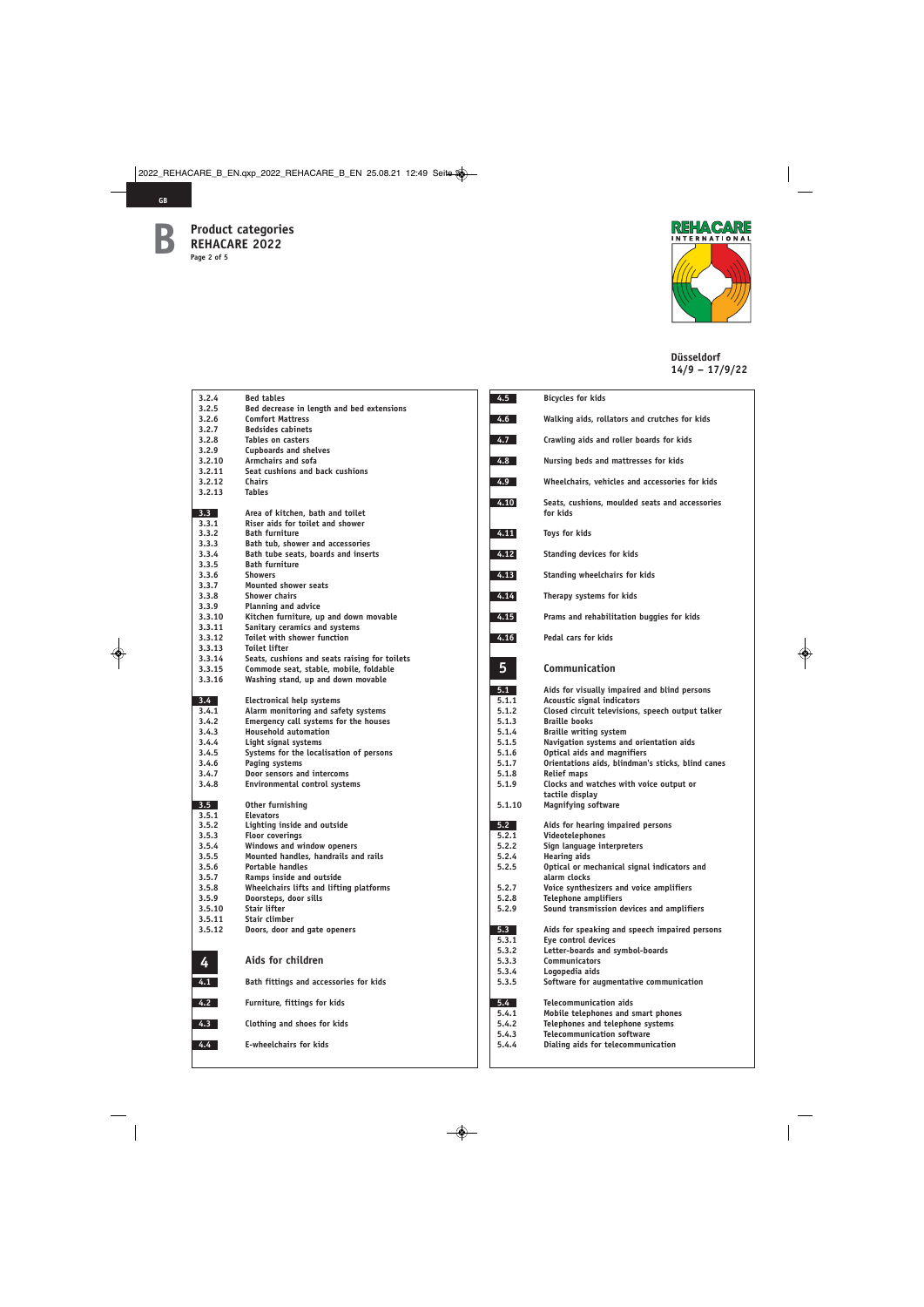



| 3.2.4   | <b>Bed tables</b>                             |
|---------|-----------------------------------------------|
| 3.2.5   | Bed decrease in length and bed extensions     |
|         |                                               |
| 3.2.6   | <b>Comfort Mattress</b>                       |
| 3.2.7   | <b>Bedsides cabinets</b>                      |
| 3.2.8   | <b>Tables on casters</b>                      |
| 3.2.9   | <b>Cupboards and shelves</b>                  |
|         |                                               |
| 3.2.10  | <b>Armchairs and sofa</b>                     |
| 3.2.11  | Seat cushions and back cushions               |
| 3.2.12  | <b>Chairs</b>                                 |
| 3.2.13  | <b>Tables</b>                                 |
|         |                                               |
|         |                                               |
| 3.3     | Area of kitchen, bath and toilet              |
| 3.3.1   | Riser aids for toilet and shower              |
| 3.3.2   | <b>Bath furniture</b>                         |
| 3.3.3   | Bath tub, shower and accessories              |
| 3.3.4   | Bath tube seats, boards and inserts           |
|         | <b>Bath furniture</b>                         |
| 3.3.5   |                                               |
| 3.3.6   | <b>Showers</b>                                |
| 3.3.7   | <b>Mounted shower seats</b>                   |
| 3.3.8   | <b>Shower chairs</b>                          |
| 3.3.9   | <b>Planning and advice</b>                    |
| 3.3.10  | Kitchen furniture, up and down movable        |
|         |                                               |
| 3.3.11  | Sanitary ceramics and systems                 |
| 3.3.12  | <b>Toilet with shower function</b>            |
| 3.3.13  | <b>Toilet lifter</b>                          |
| 3.3.14  | Seats, cushions and seats raising for toilets |
| 3.3.15  | Commode seat, stable, mobile, foldable        |
| 3.3.16  |                                               |
|         | Washing stand, up and down movable            |
|         |                                               |
| $3.4 -$ | <b>Electronical help systems</b>              |
| 3.4.1   | Alarm monitoring and safety systems           |
| 3.4.2   | Emergency call systems for the houses         |
|         |                                               |
|         |                                               |
| 3.4.3   | <b>Household automation</b>                   |
| 3.4.4   | Light signal systems                          |
| 3.4.5   | Systems for the localisation of persons       |
| 3.4.6   | Paging systems                                |
| 3.4.7   | Door sensors and intercoms                    |
|         |                                               |
| 3.4.8   | <b>Environmental control systems</b>          |
|         |                                               |
| 3.5     | Other furnishing                              |
| 3.5.1   | <b>Elevators</b>                              |
| 3.5.2   | Lighting inside and outside                   |
| 3.5.3   |                                               |
|         | <b>Floor coverings</b>                        |
| 3.5.4   | Windows and window openers                    |
| 3.5.5   | Mounted handles, handrails and rails          |
| 3.5.6   | <b>Portable handles</b>                       |
| 3.5.7   | Ramps inside and outside                      |
| 3.5.8   | Wheelchairs lifts and lifting platforms       |
| 3.5.9   | Doorsteps, door sills                         |
| 3.5.10  | Stair lifter                                  |
|         |                                               |
| 3.5.11  | Stair climber                                 |
| 3.5.12  | Doors, door and gate openers                  |
|         |                                               |
|         |                                               |
|         | Aids for children                             |
| 4       |                                               |
|         |                                               |
| 4.1     | Bath fittings and accessories for kids        |
|         |                                               |
| 4.2     | Furniture, fittings for kids                  |
|         |                                               |
| 4.3     | Clothing and shoes for kids                   |
|         |                                               |
|         | <b>E-wheelchairs for kids</b>                 |
| $4.4 -$ |                                               |

| 4.5            | Bicycles for kids                                                              |
|----------------|--------------------------------------------------------------------------------|
| 4.6            | Walking aids, rollators and crutches for kids                                  |
| 4.7            | Crawling aids and roller boards for kids                                       |
| 4.8            | Nursing beds and mattresses for kids                                           |
| 4.9            | Wheelchairs, vehicles and accessories for kids                                 |
| 4.10           | Seats, cushions, moulded seats and accessories<br>for kids                     |
| 4.11           | Toys for kids                                                                  |
| 4.12           | Standing devices for kids                                                      |
| 4.13           | <b>Standing wheelchairs for kids</b>                                           |
| 4.14           | Therapy systems for kids                                                       |
| 4.15           | Prams and rehabilitation buggies for kids                                      |
| 4.16           | Pedal cars for kids                                                            |
| 5              | Communication                                                                  |
| 5.1            | Aids for visually impaired and blind persons                                   |
| 5.1.1<br>5.1.2 | Acoustic signal indicators<br>Closed circuit televisions, speech output talker |
| 5.1.3          | <b>Braille books</b>                                                           |
| 5.1.4          | <b>Braille writing system</b>                                                  |
| 5.1.5          | Navigation systems and orientation aids                                        |
| 5.1.6          | <b>Optical aids and magnifiers</b>                                             |
| 5.1.7          | Orientations aids, blindman's sticks, blind canes                              |
| 5.1.8<br>5.1.9 | <b>Relief maps</b><br>Clocks and watches with voice output or                  |
|                | tactile display                                                                |
| 5.1.10         | <b>Magnifying software</b>                                                     |
| 5.2            | Aids for hearing impaired persons                                              |
| 5.2.1          | Videotelephones                                                                |
| 5.2.2          | Sign language interpreters                                                     |
| 5.2.4<br>5.2.5 | <b>Hearing aids</b><br>Optical or mechanical signal indicators and             |
|                | alarm clocks                                                                   |
| 5.2.7          | Voice synthesizers and voice amplifiers                                        |
| 5.2.8          | <b>Telephone amplifiers</b>                                                    |
| 5.2.9          | Sound transmission devices and amplifiers                                      |
| 5.3            | Aids for speaking and speech impaired persons                                  |
| 5.3.1          | Eye control devices                                                            |
| 5.3.2          | Letter-boards and symbol-boards                                                |
| 5.3.3          | <b>Communicators</b>                                                           |
| 5.3.4<br>5.3.5 | Logopedia aids<br>Software for augmentative communication                      |
|                |                                                                                |
| 5.4            | <b>Telecommunication aids</b>                                                  |
| 5.4.1          | Mobile telephones and smart phones                                             |
| 5.4.2          | Telephones and telephone systems<br><b>Telecommunication software</b>          |
| 5.4.3<br>5.4.4 | Dialing aids for telecommunication                                             |
|                |                                                                                |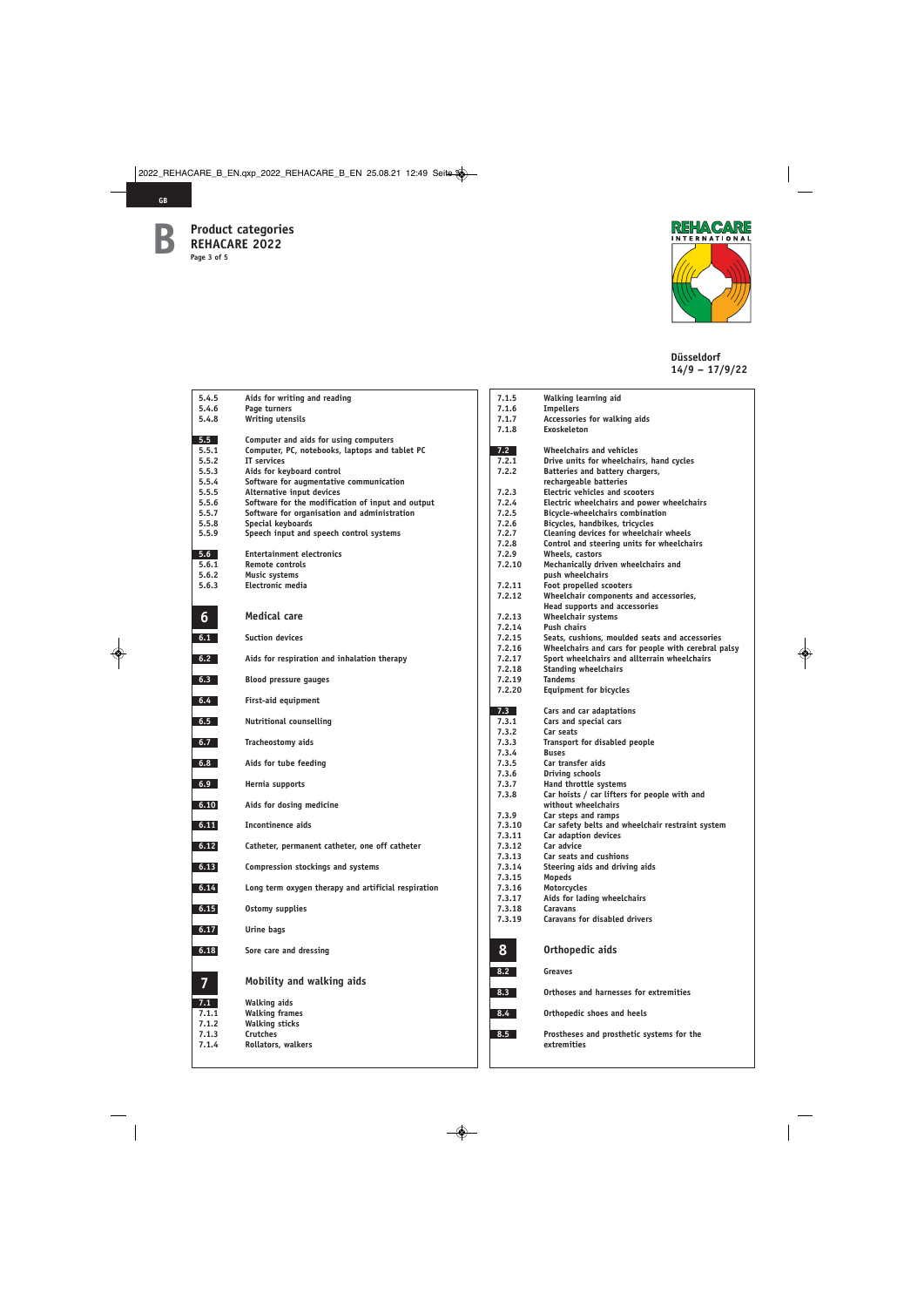

**GB**



| 5.4.5          | Aids for writing and reading                                                                      |
|----------------|---------------------------------------------------------------------------------------------------|
| 5.4.6<br>5.4.8 | Page turners<br><b>Writing utensils</b>                                                           |
|                |                                                                                                   |
| 5.5            | Computer and aids for using computers                                                             |
| 5.5.1<br>5.5.2 | Computer, PC, notebooks, laptops and tablet PC<br>IT services                                     |
| 5.5.3          | Aids for keyboard control                                                                         |
| 5.5.4          | Software for augmentative communication                                                           |
| 5.5.5          | Alternative input devices                                                                         |
| 5.5.6<br>5.5.7 | Software for the modification of input and output<br>Software for organisation and administration |
| 5.5.8          | <b>Special keyboards</b>                                                                          |
| 5.5.9          | Speech input and speech control systems                                                           |
| 5.6            | <b>Entertainment electronics</b>                                                                  |
| 5.6.1          | Remote controls                                                                                   |
| 5.6.2<br>5.6.3 | <b>Music systems</b><br>Electronic media                                                          |
|                |                                                                                                   |
| 6              | Medical care                                                                                      |
| 6.1            | <b>Suction devices</b>                                                                            |
| 6.2            | Aids for respiration and inhalation therapy                                                       |
| 6.3            | <b>Blood pressure gauges</b>                                                                      |
| 6.4            | First-aid equipment                                                                               |
| 6.5            | <b>Nutritional counselling</b>                                                                    |
| 6.7            | Tracheostomy aids                                                                                 |
| 6.8            | Aids for tube feeding                                                                             |
| 6.9            | Hernia supports                                                                                   |
| 6.10           | Aids for dosing medicine                                                                          |
| 6.11           | <b>Incontinence aids</b>                                                                          |
| 6.12           | Catheter, permanent catheter, one off catheter                                                    |
| 6.13           | <b>Compression stockings and systems</b>                                                          |
| 6.14           | Long term oxygen therapy and artificial respiration                                               |
| 6.15           | <b>Ostomy supplies</b>                                                                            |
| 6.17           | <b>Urine bags</b>                                                                                 |
| 6.18           | Sore care and dressing                                                                            |
|                | Mobility and walking aids                                                                         |
| 7.1            | <b>Walking aids</b>                                                                               |
| 7.1.1<br>7.1.2 | <b>Walking frames</b><br><b>Walking sticks</b>                                                    |
| 7.1.3          | <b>Crutches</b>                                                                                   |
| 7.1.4          | Rollators, walkers                                                                                |

| 7.1.5          | Walking learning aid                                     |
|----------------|----------------------------------------------------------|
| 7.1.6          | <b>Impellers</b>                                         |
| 7.1.7          | Accessories for walking aids                             |
| 7.1.8          | <b>Exoskeleton</b>                                       |
|                |                                                          |
| 7.2            | <b>Wheelchairs and vehicles</b>                          |
| 7.2.1          | Drive units for wheelchairs, hand cycles                 |
| 7.2.2          | Batteries and battery chargers,                          |
|                | rechargeable batteries                                   |
| 7.2.3          | <b>Electric vehicles and scooters</b>                    |
| 7.2.4          | Electric wheelchairs and power wheelchairs               |
| 7.2.5          | <b>Bicycle-wheelchairs combination</b>                   |
| 7.2.6          | Bicycles, handbikes, tricycles                           |
| 7.2.7          | Cleaning devices for wheelchair wheels                   |
| 7.2.8          | Control and steering units for wheelchairs               |
| 7.2.9          | Wheels, castors                                          |
| 7.2.10         | Mechanically driven wheelchairs and                      |
|                | push wheelchairs                                         |
| 7.2.11         | Foot propelled scooters                                  |
| 7.2.12         | Wheelchair components and accessories,                   |
|                | <b>Head supports and accessories</b>                     |
| 7.2.13         | Wheelchair systems                                       |
| 7.2.14         | <b>Push chairs</b>                                       |
| 7.2.15         | Seats, cushions, moulded seats and accessories           |
| 7.2.16         | Wheelchairs and cars for people with cerebral palsy      |
| 7.2.17         | Sport wheelchairs and allterrain wheelchairs             |
| 7.2.18         | <b>Standing wheelchairs</b>                              |
| 7.2.19         | <b>Tandems</b>                                           |
| 7.2.20         | <b>Equipment for bicycles</b>                            |
|                |                                                          |
| 7.3            | Cars and car adaptations                                 |
| 7.3.1          | Cars and special cars                                    |
| 7.3.2<br>7.3.3 | Car seats                                                |
| 7.3.4          | Transport for disabled people<br><b>Buses</b>            |
| 7.3.5          | Car transfer aids                                        |
| 7.3.6          | Driving schools                                          |
| 7.3.7          | Hand throttle systems                                    |
| 7.3.8          | Car hoists / car lifters for people with and             |
|                | without wheelchairs                                      |
| 7.3.9          | Car steps and ramps                                      |
| 7.3.10         | Car safety belts and wheelchair restraint system         |
| 7.3.11         | Car adaption devices                                     |
| 7.3.12         | Car advice                                               |
| 7.3.13         | <b>Car seats and cushions</b>                            |
| 7.3.14         | Steering aids and driving aids                           |
| 7.3.15         | Mopeds                                                   |
| 7.3.16         | Motorcycles                                              |
| 7.3.17         | Aids for lading wheelchairs                              |
| 7.3.18         | <b>Caravans</b>                                          |
| 7.3.19         | <b>Caravans for disabled drivers</b>                     |
|                |                                                          |
| 8              | Orthopedic aids                                          |
|                |                                                          |
| 8.2            | <b>Greaves</b>                                           |
| 8.3            | Orthoses and harnesses for extremities                   |
| 8.4            | Orthopedic shoes and heels                               |
| 8.5            | Prostheses and prosthetic systems for the<br>extremities |
|                |                                                          |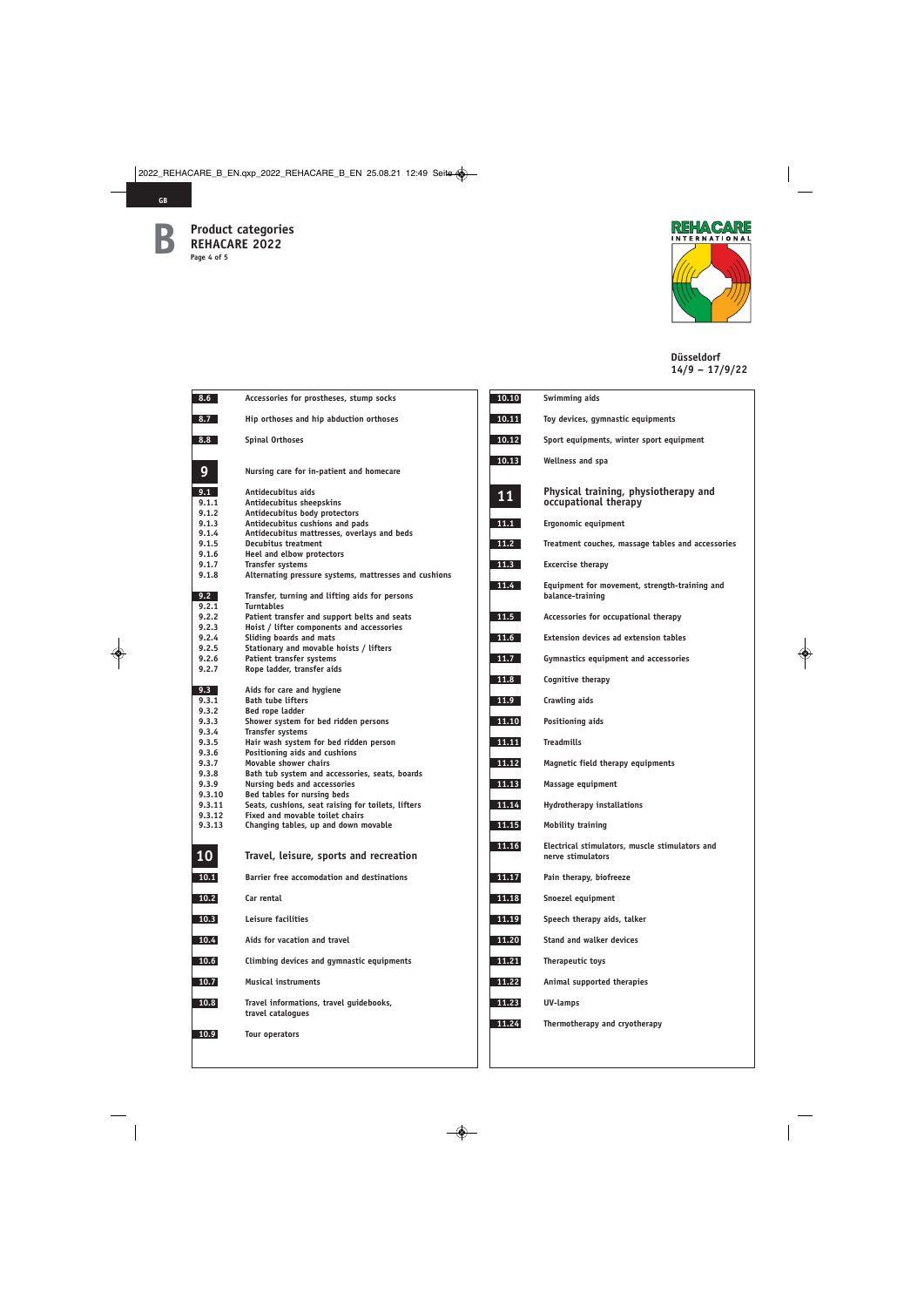

 $\overline{\phantom{a}}$ 

**GB**



| 8.6            | Accessories for prostheses, stump socks                                   |
|----------------|---------------------------------------------------------------------------|
| 8.7            | Hip orthoses and hip abduction orthoses                                   |
| 8.8            | <b>Spinal Orthoses</b>                                                    |
| $\overline{9}$ | Nursing care for in-patient and homecare                                  |
| 9.1            | Antidecubitus aids                                                        |
| 9.1.1          | Antidecubitus sheepskins                                                  |
| 9.1.2          | Antidecubitus body protectors                                             |
| 9.1.3          | Antidecubitus cushions and pads                                           |
| 9.1.4<br>9.1.5 | Antidecubitus mattresses, overlays and beds<br><b>Decubitus treatment</b> |
| 9.1.6          | <b>Heel and elbow protectors</b>                                          |
| 9.1.7          | <b>Transfer systems</b>                                                   |
| 9.1.8          | Alternating pressure systems, mattresses and cushions                     |
| 9.2            | Transfer, turning and lifting aids for persons                            |
| 9.2.1<br>9.2.2 | <b>Turntables</b><br>Patient transfer and support belts and seats         |
| 9.2.3          | Hoist / lifter components and accessories                                 |
| 9.2.4          | Sliding boards and mats                                                   |
| 9.2.5          | Stationary and movable hoists / lifters                                   |
| 9.2.6          | <b>Patient transfer systems</b>                                           |
| 9.2.7          | Rope ladder, transfer aids                                                |
| 9.3            | Aids for care and hygiene                                                 |
| 9.3.1          | <b>Bath tube lifters</b>                                                  |
| 9.3.2          | Bed rope ladder                                                           |
| 9.3.3          | Shower system for bed ridden persons                                      |
| 9.3.4          | <b>Transfer systems</b>                                                   |
| 9.3.5<br>9.3.6 | Hair wash system for bed ridden person<br>Positioning aids and cushions   |
| 9.3.7          | Movable shower chairs                                                     |
| 9.3.8          | Bath tub system and accessories, seats, boards                            |
| 9.3.9          | Nursing beds and accessories                                              |
| 9.3.10         | Bed tables for nursing beds                                               |
| 9.3.11         | Seats, cushions, seat raising for toilets, lifters                        |
| 9.3.12         | Fixed and movable toilet chairs                                           |
| 9.3.13         | Changing tables, up and down movable                                      |
| 10             | Travel, leisure, sports and recreation                                    |
| 10.1           | <b>Barrier free accomodation and destinations</b>                         |
| 10.2           | Car rental                                                                |
| 10.3           | Leisure facilities                                                        |
| 10.4           | Aids for vacation and travel                                              |
| 10.6           | Climbing devices and gymnastic equipments                                 |
| 10.7           | <b>Musical instruments</b>                                                |
| 10.8           | Travel informations, travel guidebooks,<br>travel catalogues              |
| 10.9           | <b>Tour operators</b>                                                     |

| 10.10 | Swimming aids                                                       |
|-------|---------------------------------------------------------------------|
| 10.11 | Toy devices, gymnastic equipments                                   |
| 10.12 | Sport equipments, winter sport equipment                            |
| 10.13 | Wellness and spa                                                    |
| 11    | Physical training, physiotherapy and<br>occupational therapy        |
| 11.1  | Ergonomic equipment                                                 |
| 11.2  | Treatment couches, massage tables and accessories                   |
| 11.3  | <b>Excercise therapy</b>                                            |
| 11.4  | Equipment for movement, strength-training and<br>balance-training   |
| 11.5  | Accessories for occupational therapy                                |
| 11.6  | <b>Extension devices ad extension tables</b>                        |
| 11.7  | Gymnastics equipment and accessories                                |
| 11.8  | Cognitive therapy                                                   |
| 11.9  | Crawling aids                                                       |
| 11.10 | Positioning aids                                                    |
| 11.11 | <b>Treadmills</b>                                                   |
| 11.12 | Magnetic field therapy equipments                                   |
| 11.13 | Massage equipment                                                   |
| 11.14 | <b>Hydrotherapy installations</b>                                   |
| 11.15 | <b>Mobility training</b>                                            |
| 11.16 | Electrical stimulators, muscle stimulators and<br>nerve stimulators |
| 11.17 | Pain therapy, biofreeze                                             |
| 11.18 | Snoezel equipment                                                   |
| 11.19 | Speech therapy aids, talker                                         |
| 11.20 | <b>Stand and walker devices</b>                                     |
| 11.21 | Therapeutic toys                                                    |
| 11.22 | Animal supported therapies                                          |
| 11.23 | <b>UV-lamps</b>                                                     |
| 11.24 | Thermotherapy and cryotherapy                                       |
|       |                                                                     |